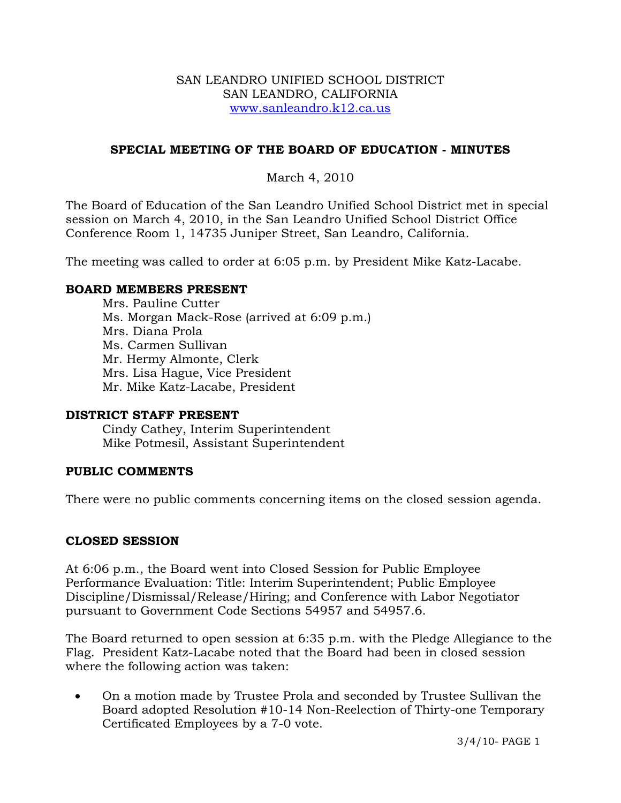#### SAN LEANDRO UNIFIED SCHOOL DISTRICT SAN LEANDRO, CALIFORNIA www.sanleandro.k12.ca.us

## **SPECIAL MEETING OF THE BOARD OF EDUCATION - MINUTES**

## March 4, 2010

The Board of Education of the San Leandro Unified School District met in special session on March 4, 2010, in the San Leandro Unified School District Office Conference Room 1, 14735 Juniper Street, San Leandro, California.

The meeting was called to order at 6:05 p.m. by President Mike Katz-Lacabe.

### **BOARD MEMBERS PRESENT**

Mrs. Pauline Cutter Ms. Morgan Mack-Rose (arrived at 6:09 p.m.) Mrs. Diana Prola Ms. Carmen Sullivan Mr. Hermy Almonte, Clerk Mrs. Lisa Hague, Vice President Mr. Mike Katz-Lacabe, President

## **DISTRICT STAFF PRESENT**

Cindy Cathey, Interim Superintendent Mike Potmesil, Assistant Superintendent

## **PUBLIC COMMENTS**

There were no public comments concerning items on the closed session agenda.

## **CLOSED SESSION**

At 6:06 p.m., the Board went into Closed Session for Public Employee Performance Evaluation: Title: Interim Superintendent; Public Employee Discipline/Dismissal/Release/Hiring; and Conference with Labor Negotiator pursuant to Government Code Sections 54957 and 54957.6.

The Board returned to open session at 6:35 p.m. with the Pledge Allegiance to the Flag. President Katz-Lacabe noted that the Board had been in closed session where the following action was taken:

• On a motion made by Trustee Prola and seconded by Trustee Sullivan the Board adopted Resolution #10-14 Non-Reelection of Thirty-one Temporary Certificated Employees by a 7-0 vote.

3/4/10- PAGE 1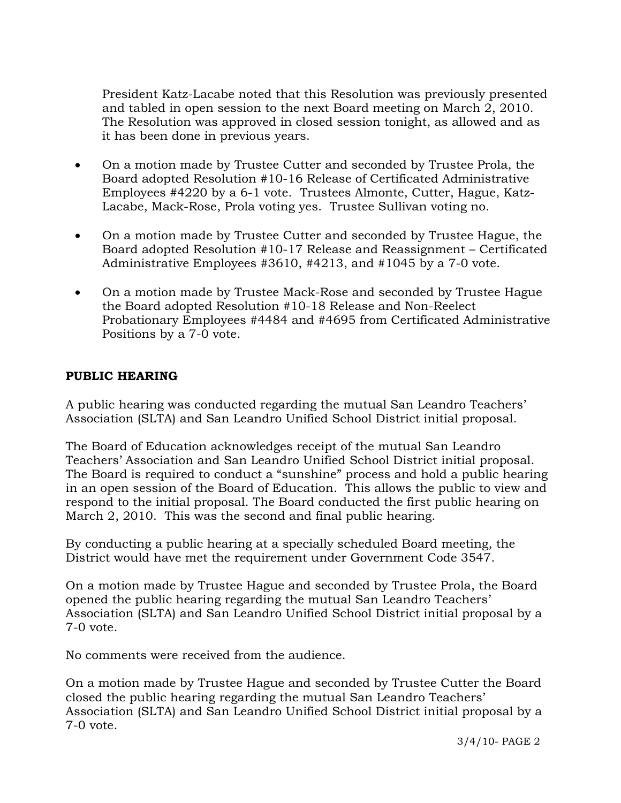President Katz-Lacabe noted that this Resolution was previously presented and tabled in open session to the next Board meeting on March 2, 2010. The Resolution was approved in closed session tonight, as allowed and as it has been done in previous years.

- On a motion made by Trustee Cutter and seconded by Trustee Prola, the Board adopted Resolution #10-16 Release of Certificated Administrative Employees #4220 by a 6-1 vote. Trustees Almonte, Cutter, Hague, Katz-Lacabe, Mack-Rose, Prola voting yes. Trustee Sullivan voting no.
- On a motion made by Trustee Cutter and seconded by Trustee Hague, the Board adopted Resolution #10-17 Release and Reassignment – Certificated Administrative Employees #3610, #4213, and #1045 by a 7-0 vote.
- On a motion made by Trustee Mack-Rose and seconded by Trustee Hague the Board adopted Resolution #10-18 Release and Non-Reelect Probationary Employees #4484 and #4695 from Certificated Administrative Positions by a 7-0 vote.

# **PUBLIC HEARING**

A public hearing was conducted regarding the mutual San Leandro Teachers' Association (SLTA) and San Leandro Unified School District initial proposal.

The Board of Education acknowledges receipt of the mutual San Leandro Teachers' Association and San Leandro Unified School District initial proposal. The Board is required to conduct a "sunshine" process and hold a public hearing in an open session of the Board of Education. This allows the public to view and respond to the initial proposal. The Board conducted the first public hearing on March 2, 2010. This was the second and final public hearing.

By conducting a public hearing at a specially scheduled Board meeting, the District would have met the requirement under Government Code 3547.

On a motion made by Trustee Hague and seconded by Trustee Prola, the Board opened the public hearing regarding the mutual San Leandro Teachers' Association (SLTA) and San Leandro Unified School District initial proposal by a 7-0 vote.

No comments were received from the audience.

On a motion made by Trustee Hague and seconded by Trustee Cutter the Board closed the public hearing regarding the mutual San Leandro Teachers' Association (SLTA) and San Leandro Unified School District initial proposal by a 7-0 vote.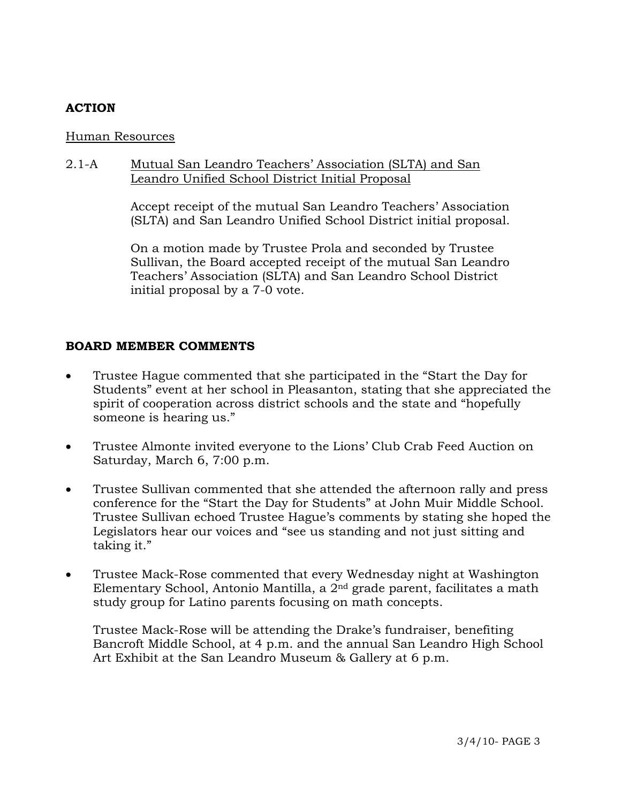# **ACTION**

### Human Resources

## 2.1-A Mutual San Leandro Teachers' Association (SLTA) and San Leandro Unified School District Initial Proposal

Accept receipt of the mutual San Leandro Teachers' Association (SLTA) and San Leandro Unified School District initial proposal.

On a motion made by Trustee Prola and seconded by Trustee Sullivan, the Board accepted receipt of the mutual San Leandro Teachers' Association (SLTA) and San Leandro School District initial proposal by a 7-0 vote.

## **BOARD MEMBER COMMENTS**

- Trustee Hague commented that she participated in the "Start the Day for Students" event at her school in Pleasanton, stating that she appreciated the spirit of cooperation across district schools and the state and "hopefully someone is hearing us."
- Trustee Almonte invited everyone to the Lions' Club Crab Feed Auction on Saturday, March 6, 7:00 p.m.
- Trustee Sullivan commented that she attended the afternoon rally and press conference for the "Start the Day for Students" at John Muir Middle School. Trustee Sullivan echoed Trustee Hague's comments by stating she hoped the Legislators hear our voices and "see us standing and not just sitting and taking it."
- Trustee Mack-Rose commented that every Wednesday night at Washington Elementary School, Antonio Mantilla, a 2nd grade parent, facilitates a math study group for Latino parents focusing on math concepts.

 Trustee Mack-Rose will be attending the Drake's fundraiser, benefiting Bancroft Middle School, at 4 p.m. and the annual San Leandro High School Art Exhibit at the San Leandro Museum & Gallery at 6 p.m.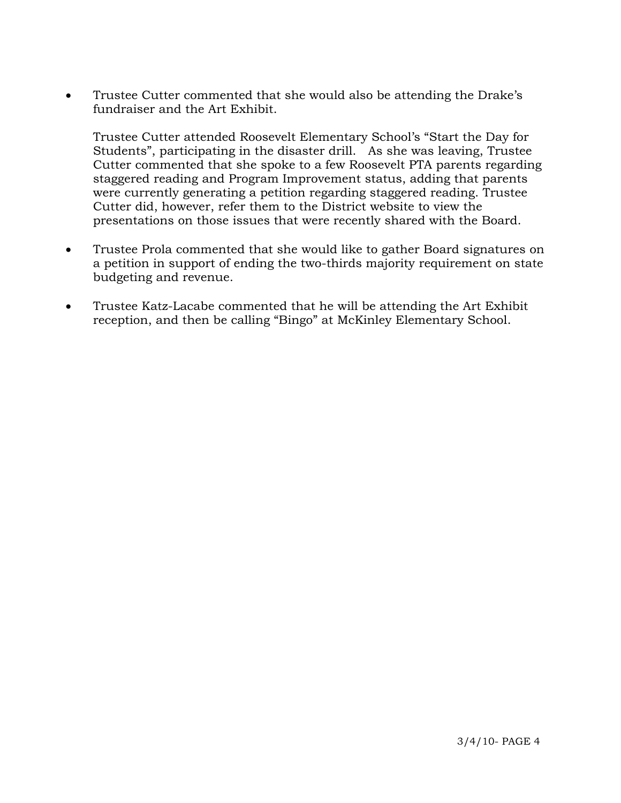• Trustee Cutter commented that she would also be attending the Drake's fundraiser and the Art Exhibit.

 Trustee Cutter attended Roosevelt Elementary School's "Start the Day for Students", participating in the disaster drill. As she was leaving, Trustee Cutter commented that she spoke to a few Roosevelt PTA parents regarding staggered reading and Program Improvement status, adding that parents were currently generating a petition regarding staggered reading. Trustee Cutter did, however, refer them to the District website to view the presentations on those issues that were recently shared with the Board.

- Trustee Prola commented that she would like to gather Board signatures on a petition in support of ending the two-thirds majority requirement on state budgeting and revenue.
- Trustee Katz-Lacabe commented that he will be attending the Art Exhibit reception, and then be calling "Bingo" at McKinley Elementary School.